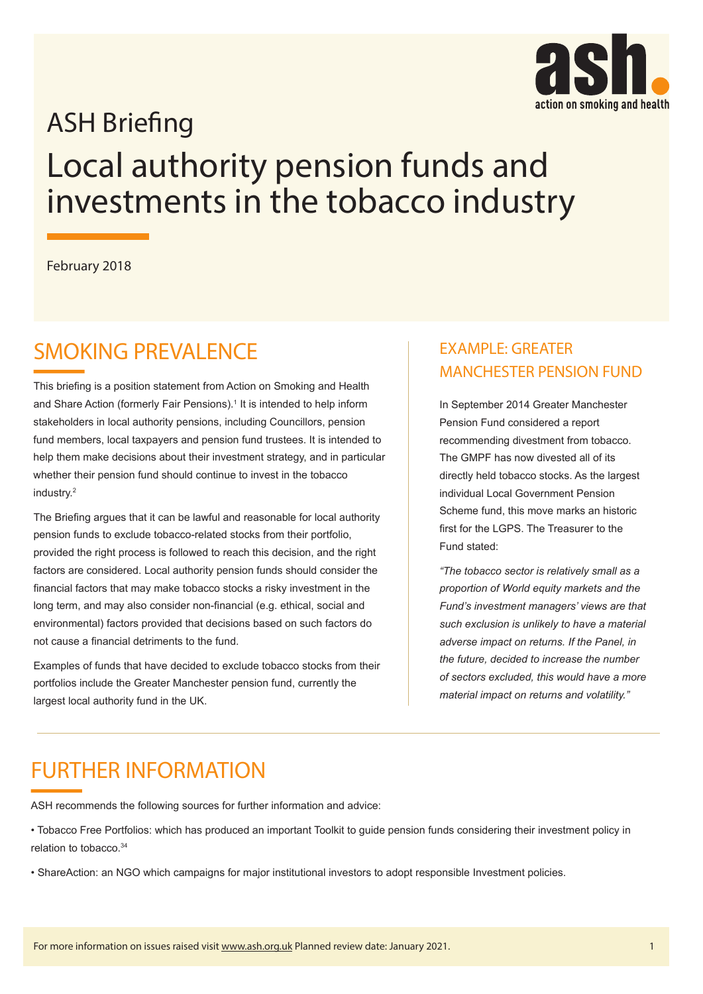

# **ASH Briefing** Local authority pension funds and investments in the tobacco industry

February 2018

### SMOKING PREVALENCE

This briefing is a position statement from Action on Smoking and Health and Share Action (formerly Fair Pensions).<sup>1</sup> It is intended to help inform stakeholders in local authority pensions, including Councillors, pension fund members, local taxpayers and pension fund trustees. It is intended to help them make decisions about their investment strategy, and in particular whether their pension fund should continue to invest in the tobacco industry.<sup>2</sup>

The Briefing argues that it can be lawful and reasonable for local authority pension funds to exclude tobacco-related stocks from their portfolio, provided the right process is followed to reach this decision, and the right factors are considered. Local authority pension funds should consider the financial factors that may make tobacco stocks a risky investment in the long term, and may also consider non-financial (e.g. ethical, social and environmental) factors provided that decisions based on such factors do not cause a financial detriments to the fund.

Examples of funds that have decided to exclude tobacco stocks from their portfolios include the Greater Manchester pension fund, currently the largest local authority fund in the UK.

### EXAMPLE: GREATER MANCHESTER PENSION FUND

In September 2014 Greater Manchester Pension Fund considered a report recommending divestment from tobacco. The GMPF has now divested all of its directly held tobacco stocks. As the largest individual Local Government Pension Scheme fund, this move marks an historic first for the LGPS. The Treasurer to the Fund stated:

*"The tobacco sector is relatively small as a proportion of World equity markets and the Fund's investment managers' views are that such exclusion is unlikely to have a material adverse impact on returns. If the Panel, in the future, decided to increase the number of sectors excluded, this would have a more material impact on returns and volatility."*

### FURTHER INFORMATION

ASH recommends the following sources for further information and advice:

- Tobacco Free Portfolios: which has produced an important Toolkit to guide pension funds considering their investment policy in relation to tobacco.34
- ShareAction: an NGO which campaigns for major institutional investors to adopt responsible Investment policies.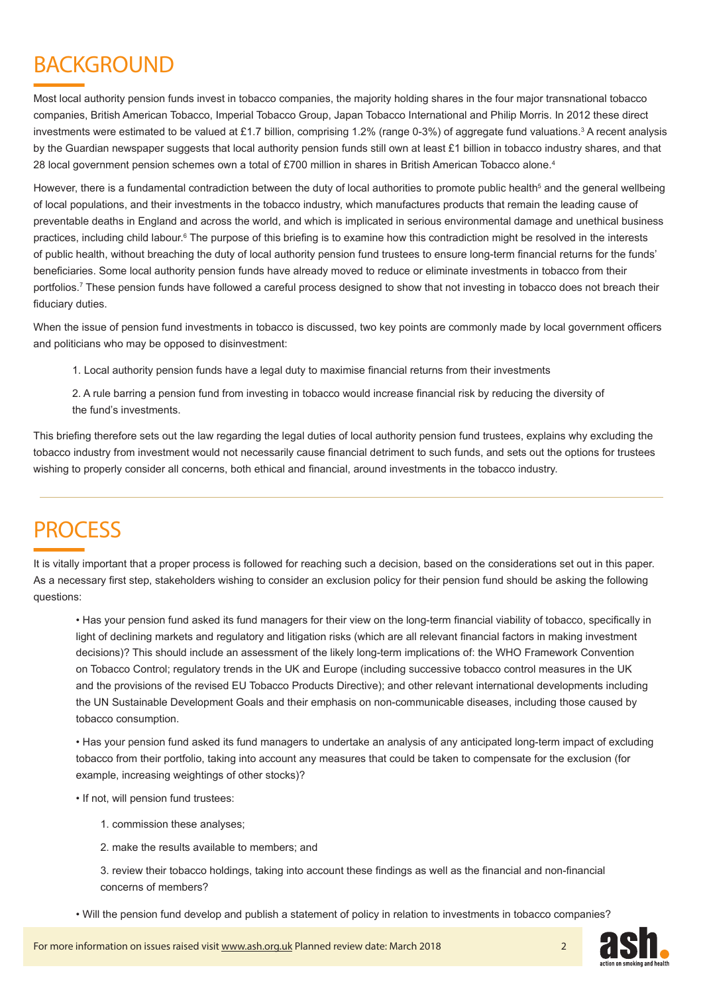## BACKGROUND

Most local authority pension funds invest in tobacco companies, the majority holding shares in the four major transnational tobacco companies, British American Tobacco, Imperial Tobacco Group, Japan Tobacco International and Philip Morris. In 2012 these direct investments were estimated to be valued at £1.7 billion, comprising 1.2% (range 0-3%) of aggregate fund valuations.<sup>3</sup> A recent analysis by the Guardian newspaper suggests that local authority pension funds still own at least £1 billion in tobacco industry shares, and that 28 local government pension schemes own a total of £700 million in shares in British American Tobacco alone.4

However, there is a fundamental contradiction between the duty of local authorities to promote public health<sup>5</sup> and the general wellbeing of local populations, and their investments in the tobacco industry, which manufactures products that remain the leading cause of preventable deaths in England and across the world, and which is implicated in serious environmental damage and unethical business practices, including child labour.<sup>6</sup> The purpose of this briefing is to examine how this contradiction might be resolved in the interests of public health, without breaching the duty of local authority pension fund trustees to ensure long-term financial returns for the funds' beneficiaries. Some local authority pension funds have already moved to reduce or eliminate investments in tobacco from their portfolios.7 These pension funds have followed a careful process designed to show that not investing in tobacco does not breach their fiduciary duties.

When the issue of pension fund investments in tobacco is discussed, two key points are commonly made by local government officers and politicians who may be opposed to disinvestment:

1. Local authority pension funds have a legal duty to maximise financial returns from their investments

2. A rule barring a pension fund from investing in tobacco would increase financial risk by reducing the diversity of the fund's investments.

This briefing therefore sets out the law regarding the legal duties of local authority pension fund trustees, explains why excluding the tobacco industry from investment would not necessarily cause financial detriment to such funds, and sets out the options for trustees wishing to properly consider all concerns, both ethical and financial, around investments in the tobacco industry.

### **PROCESS**

It is vitally important that a proper process is followed for reaching such a decision, based on the considerations set out in this paper. As a necessary first step, stakeholders wishing to consider an exclusion policy for their pension fund should be asking the following questions:

• Has your pension fund asked its fund managers for their view on the long-term financial viability of tobacco, specifically in light of declining markets and regulatory and litigation risks (which are all relevant financial factors in making investment decisions)? This should include an assessment of the likely long-term implications of: the WHO Framework Convention on Tobacco Control; regulatory trends in the UK and Europe (including successive tobacco control measures in the UK and the provisions of the revised EU Tobacco Products Directive); and other relevant international developments including the UN Sustainable Development Goals and their emphasis on non-communicable diseases, including those caused by tobacco consumption.

• Has your pension fund asked its fund managers to undertake an analysis of any anticipated long-term impact of excluding tobacco from their portfolio, taking into account any measures that could be taken to compensate for the exclusion (for example, increasing weightings of other stocks)?

• If not, will pension fund trustees:

- 1. commission these analyses;
- 2. make the results available to members; and

3. review their tobacco holdings, taking into account these findings as well as the financial and non-financial concerns of members?

• Will the pension fund develop and publish a statement of policy in relation to investments in tobacco companies?



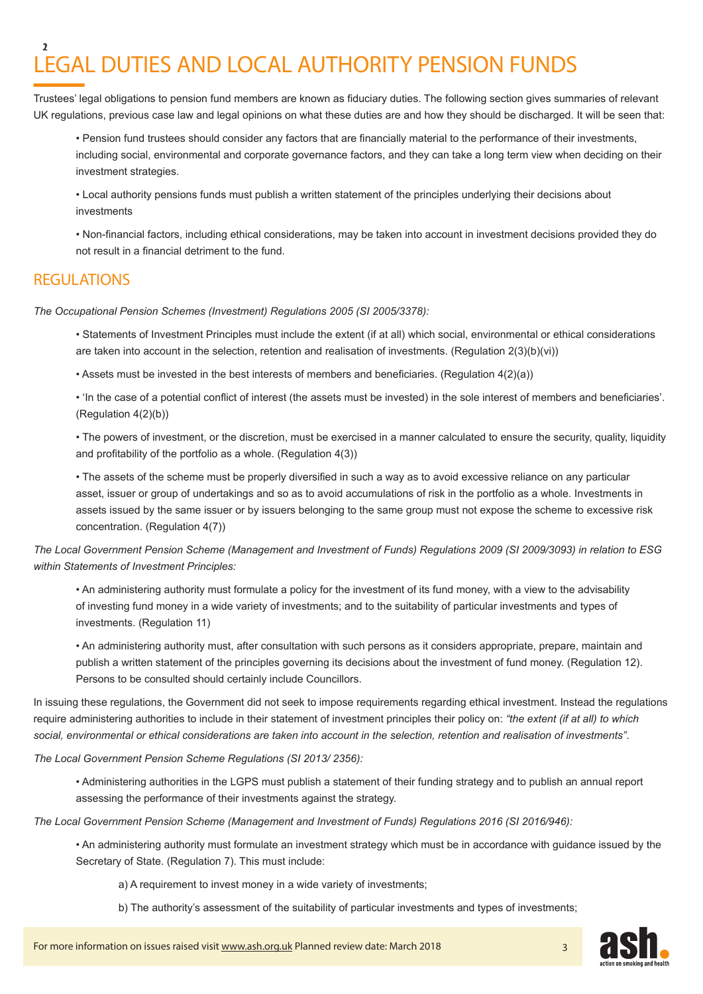#### LEGAL DUTIES AND LOCAL AUTHORITY PENSION FUNDS 12

Trustees' legal obligations to pension fund members are known as fiduciary duties. The following section gives summaries of relevant UK regulations, previous case law and legal opinions on what these duties are and how they should be discharged. It will be seen that:

• Pension fund trustees should consider any factors that are financially material to the performance of their investments, including social, environmental and corporate governance factors, and they can take a long term view when deciding on their investment strategies.

• Local authority pensions funds must publish a written statement of the principles underlying their decisions about investments

• Non-financial factors, including ethical considerations, may be taken into account in investment decisions provided they do not result in a financial detriment to the fund.

#### **REGULATIONS**

*The Occupational Pension Schemes (Investment) Regulations 2005 (SI 2005/3378):*

• Statements of Investment Principles must include the extent (if at all) which social, environmental or ethical considerations are taken into account in the selection, retention and realisation of investments. (Regulation 2(3)(b)(vi))

• Assets must be invested in the best interests of members and beneficiaries. (Regulation 4(2)(a))

• 'In the case of a potential conflict of interest (the assets must be invested) in the sole interest of members and beneficiaries'. (Regulation 4(2)(b))

• The powers of investment, or the discretion, must be exercised in a manner calculated to ensure the security, quality, liquidity and profitability of the portfolio as a whole. (Regulation 4(3))

• The assets of the scheme must be properly diversified in such a way as to avoid excessive reliance on any particular asset, issuer or group of undertakings and so as to avoid accumulations of risk in the portfolio as a whole. Investments in assets issued by the same issuer or by issuers belonging to the same group must not expose the scheme to excessive risk concentration. (Regulation 4(7))

*The Local Government Pension Scheme (Management and Investment of Funds) Regulations 2009 (SI 2009/3093) in relation to ESG within Statements of Investment Principles:* 

• An administering authority must formulate a policy for the investment of its fund money, with a view to the advisability of investing fund money in a wide variety of investments; and to the suitability of particular investments and types of investments. (Regulation 11)

• An administering authority must, after consultation with such persons as it considers appropriate, prepare, maintain and publish a written statement of the principles governing its decisions about the investment of fund money. (Regulation 12). Persons to be consulted should certainly include Councillors.

In issuing these regulations, the Government did not seek to impose requirements regarding ethical investment. Instead the regulations require administering authorities to include in their statement of investment principles their policy on: *"the extent (if at all) to which social, environmental or ethical considerations are taken into account in the selection, retention and realisation of investments"*.

*The Local Government Pension Scheme Regulations (SI 2013/ 2356):*

• Administering authorities in the LGPS must publish a statement of their funding strategy and to publish an annual report assessing the performance of their investments against the strategy.

*The Local Government Pension Scheme (Management and Investment of Funds) Regulations 2016 (SI 2016/946):*

• An administering authority must formulate an investment strategy which must be in accordance with guidance issued by the Secretary of State. (Regulation 7). This must include:

a) A requirement to invest money in a wide variety of investments;

b) The authority's assessment of the suitability of particular investments and types of investments;



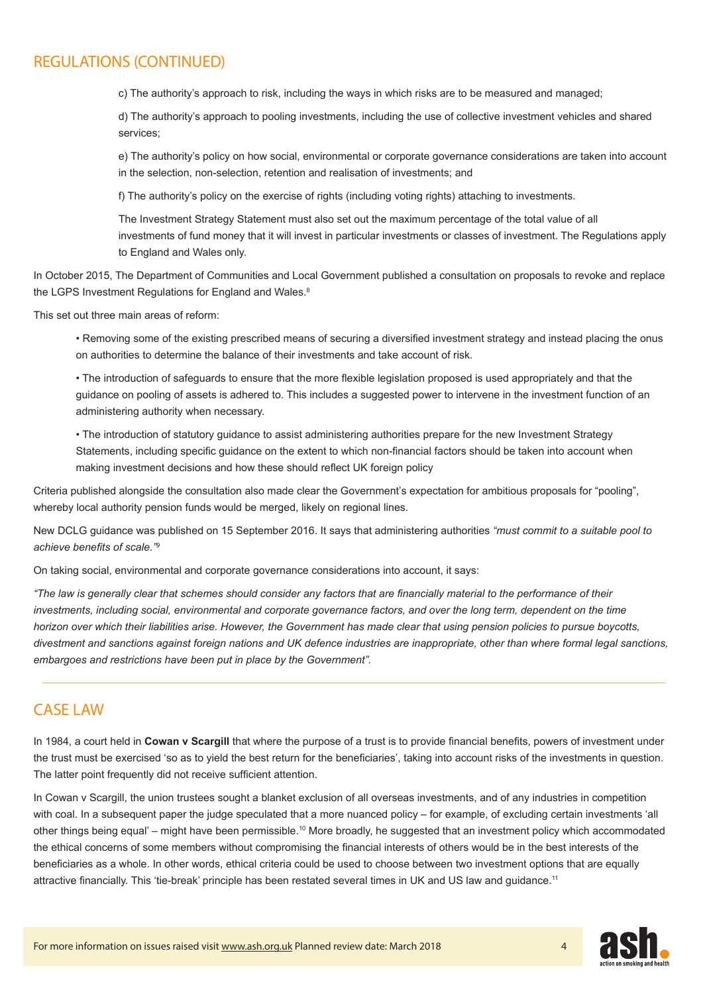#### REGULATIONS (CONTINUED)

c) The authority's approach to risk, including the ways in which risks are to be measured and managed;

d) The authority's approach to pooling investments, including the use of collective investment vehicles and shared services;

e) The authority's policy on how social, environmental or corporate governance considerations are taken into account in the selection, non-selection, retention and realisation of investments; and

f) The authority's policy on the exercise of rights (including voting rights) attaching to investments.

The Investment Strategy Statement must also set out the maximum percentage of the total value of all investments of fund money that it will invest in particular investments or classes of investment. The Regulations apply to England and Wales only.

In October 2015, The Department of Communities and Local Government published a consultation on proposals to revoke and replace the LGPS Investment Regulations for England and Wales.<sup>8</sup>

This set out three main areas of reform:

• Removing some of the existing prescribed means of securing a diversified investment strategy and instead placing the onus on authorities to determine the balance of their investments and take account of risk.

• The introduction of safeguards to ensure that the more flexible legislation proposed is used appropriately and that the guidance on pooling of assets is adhered to. This includes a suggested power to intervene in the investment function of an administering authority when necessary.

• The introduction of statutory guidance to assist administering authorities prepare for the new Investment Strategy Statements, including specific guidance on the extent to which non-financial factors should be taken into account when making investment decisions and how these should reflect UK foreign policy

Criteria published alongside the consultation also made clear the Government's expectation for ambitious proposals for "pooling", whereby local authority pension funds would be merged, likely on regional lines.

New DCLG guidance was published on 15 September 2016. It says that administering authorities *"must commit to a suitable pool to achieve benefits of scale."<sup>9</sup>*

On taking social, environmental and corporate governance considerations into account, it says:

*"The law is generally clear that schemes should consider any factors that are financially material to the performance of their*  investments, including social, environmental and corporate governance factors, and over the long term, dependent on the time *horizon over which their liabilities arise. However, the Government has made clear that using pension policies to pursue boycotts, divestment and sanctions against foreign nations and UK defence industries are inappropriate, other than where formal legal sanctions, embargoes and restrictions have been put in place by the Government".*

#### CASE LAW

In 1984, a court held in **Cowan v Scargill** that where the purpose of a trust is to provide financial benefits, powers of investment under the trust must be exercised 'so as to yield the best return for the beneficiaries', taking into account risks of the investments in question. The latter point frequently did not receive sufficient attention.

In Cowan v Scargill, the union trustees sought a blanket exclusion of all overseas investments, and of any industries in competition with coal. In a subsequent paper the judge speculated that a more nuanced policy – for example, of excluding certain investments 'all other things being equal' – might have been permissible.10 More broadly, he suggested that an investment policy which accommodated the ethical concerns of some members without compromising the financial interests of others would be in the best interests of the beneficiaries as a whole. In other words, ethical criteria could be used to choose between two investment options that are equally attractive financially. This 'tie-break' principle has been restated several times in UK and US law and guidance.<sup>11</sup>

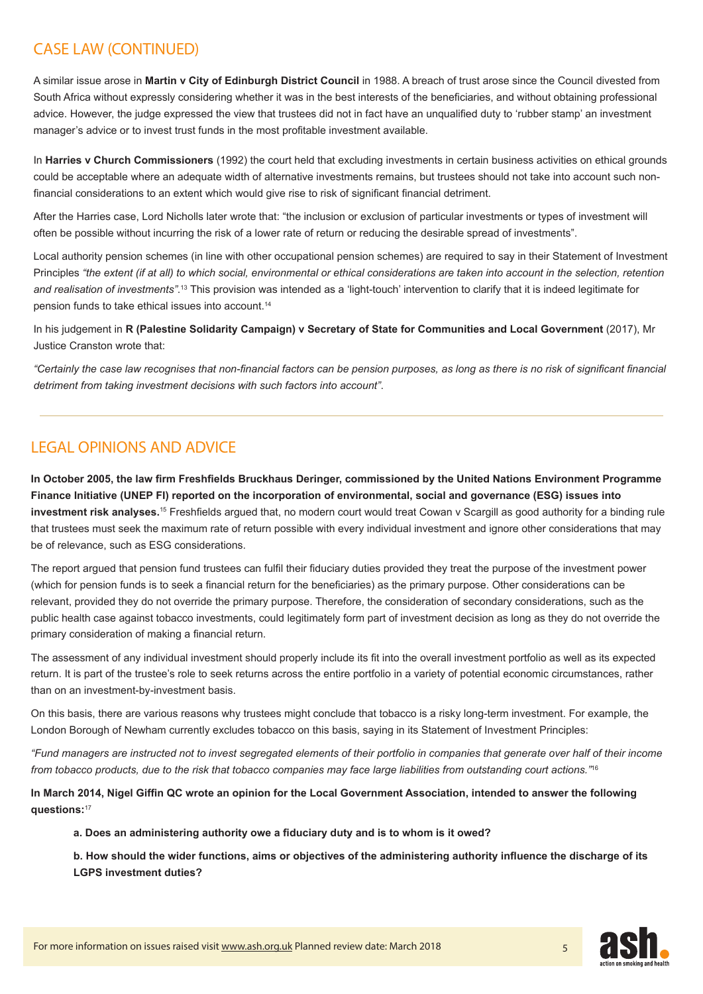### CASE LAW (CONTINUED)

A similar issue arose in **Martin v City of Edinburgh District Council** in 1988. A breach of trust arose since the Council divested from South Africa without expressly considering whether it was in the best interests of the beneficiaries, and without obtaining professional advice. However, the judge expressed the view that trustees did not in fact have an unqualified duty to 'rubber stamp' an investment manager's advice or to invest trust funds in the most profitable investment available.

In **Harries v Church Commissioners** (1992) the court held that excluding investments in certain business activities on ethical grounds could be acceptable where an adequate width of alternative investments remains, but trustees should not take into account such nonfinancial considerations to an extent which would give rise to risk of significant financial detriment.

After the Harries case, Lord Nicholls later wrote that: "the inclusion or exclusion of particular investments or types of investment will often be possible without incurring the risk of a lower rate of return or reducing the desirable spread of investments".

Local authority pension schemes (in line with other occupational pension schemes) are required to say in their Statement of Investment Principles *"the extent (if at all) to which social, environmental or ethical considerations are taken into account in the selection, retention and realisation of investments"*. <sup>13</sup> This provision was intended as a 'light-touch' intervention to clarify that it is indeed legitimate for pension funds to take ethical issues into account.14

In his judgement in **R (Palestine Solidarity Campaign) v Secretary of State for Communities and Local Government** (2017), Mr Justice Cranston wrote that:

*"Certainly the case law recognises that non-financial factors can be pension purposes, as long as there is no risk of significant financial detriment from taking investment decisions with such factors into account"*.

#### LEGAL OPINIONS AND ADVICE

**In October 2005, the law firm Freshfields Bruckhaus Deringer, commissioned by the United Nations Environment Programme Finance Initiative (UNEP FI) reported on the incorporation of environmental, social and governance (ESG) issues into investment risk analyses.**<sup>15</sup> Freshfields argued that, no modern court would treat Cowan v Scargill as good authority for a binding rule that trustees must seek the maximum rate of return possible with every individual investment and ignore other considerations that may be of relevance, such as ESG considerations.

The report argued that pension fund trustees can fulfil their fiduciary duties provided they treat the purpose of the investment power (which for pension funds is to seek a financial return for the beneficiaries) as the primary purpose. Other considerations can be relevant, provided they do not override the primary purpose. Therefore, the consideration of secondary considerations, such as the public health case against tobacco investments, could legitimately form part of investment decision as long as they do not override the primary consideration of making a financial return.

The assessment of any individual investment should properly include its fit into the overall investment portfolio as well as its expected return. It is part of the trustee's role to seek returns across the entire portfolio in a variety of potential economic circumstances, rather than on an investment-by-investment basis.

On this basis, there are various reasons why trustees might conclude that tobacco is a risky long-term investment. For example, the London Borough of Newham currently excludes tobacco on this basis, saying in its Statement of Investment Principles:

*"Fund managers are instructed not to invest segregated elements of their portfolio in companies that generate over half of their income from tobacco products, due to the risk that tobacco companies may face large liabilities from outstanding court actions."*<sup>16</sup>

**In March 2014, Nigel Giffin QC wrote an opinion for the Local Government Association, intended to answer the following questions:**<sup>17</sup>

**a. Does an administering authority owe a fiduciary duty and is to whom is it owed?** 

**b. How should the wider functions, aims or objectives of the administering authority influence the discharge of its LGPS investment duties?** 

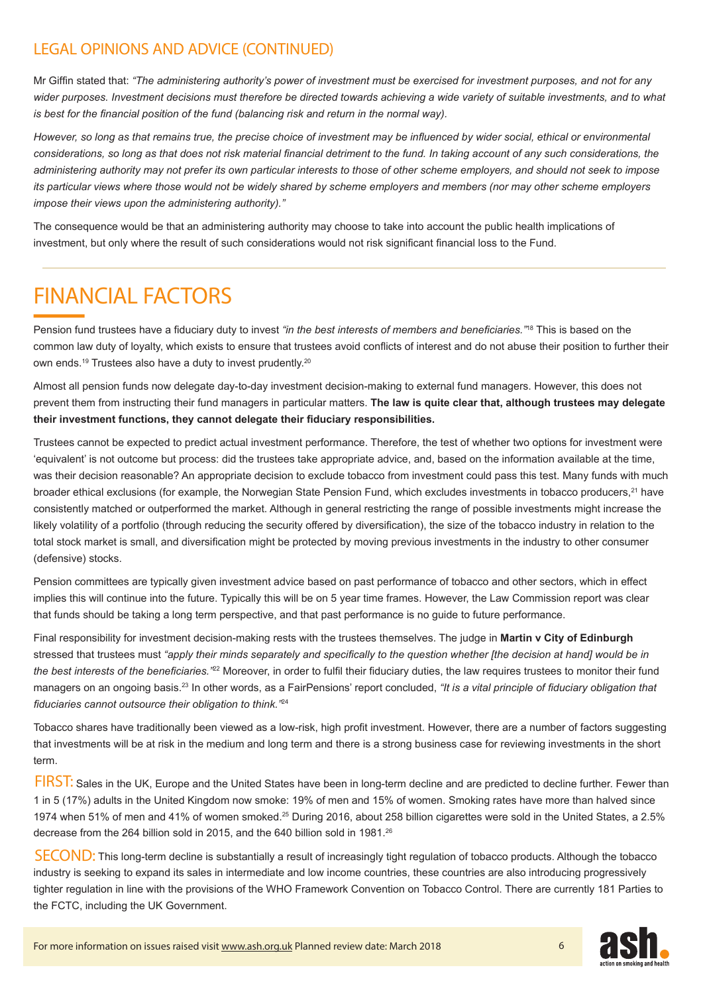#### LEGAL OPINIONS AND ADVICE (CONTINUED)

Mr Giffin stated that: *"The administering authority's power of investment must be exercised for investment purposes, and not for any wider purposes. Investment decisions must therefore be directed towards achieving a wide variety of suitable investments, and to what is best for the financial position of the fund (balancing risk and return in the normal way).* 

*However, so long as that remains true, the precise choice of investment may be influenced by wider social, ethical or environmental considerations, so long as that does not risk material financial detriment to the fund. In taking account of any such considerations, the administering authority may not prefer its own particular interests to those of other scheme employers, and should not seek to impose its particular views where those would not be widely shared by scheme employers and members (nor may other scheme employers impose their views upon the administering authority)."* 

The consequence would be that an administering authority may choose to take into account the public health implications of investment, but only where the result of such considerations would not risk significant financial loss to the Fund.

### FINANCIAL FACTORS

Pension fund trustees have a fiduciary duty to invest *"in the best interests of members and beneficiaries."*<sup>18</sup> This is based on the common law duty of loyalty, which exists to ensure that trustees avoid conflicts of interest and do not abuse their position to further their own ends.19 Trustees also have a duty to invest prudently.20

Almost all pension funds now delegate day-to-day investment decision-making to external fund managers. However, this does not prevent them from instructing their fund managers in particular matters. **The law is quite clear that, although trustees may delegate their investment functions, they cannot delegate their fiduciary responsibilities.** 

Trustees cannot be expected to predict actual investment performance. Therefore, the test of whether two options for investment were 'equivalent' is not outcome but process: did the trustees take appropriate advice, and, based on the information available at the time, was their decision reasonable? An appropriate decision to exclude tobacco from investment could pass this test. Many funds with much broader ethical exclusions (for example, the Norwegian State Pension Fund, which excludes investments in tobacco producers,<sup>21</sup> have consistently matched or outperformed the market. Although in general restricting the range of possible investments might increase the likely volatility of a portfolio (through reducing the security offered by diversification), the size of the tobacco industry in relation to the total stock market is small, and diversification might be protected by moving previous investments in the industry to other consumer (defensive) stocks.

Pension committees are typically given investment advice based on past performance of tobacco and other sectors, which in effect implies this will continue into the future. Typically this will be on 5 year time frames. However, the Law Commission report was clear that funds should be taking a long term perspective, and that past performance is no guide to future performance.

Final responsibility for investment decision-making rests with the trustees themselves. The judge in **Martin v City of Edinburgh** stressed that trustees must *"apply their minds separately and specifically to the question whether [the decision at hand] would be in the best interests of the beneficiaries."*<sup>22</sup> Moreover, in order to fulfil their fiduciary duties, the law requires trustees to monitor their fund managers on an ongoing basis.<sup>23</sup> In other words, as a FairPensions' report concluded, *"It is a vital principle of fiduciary obligation that fiduciaries cannot outsource their obligation to think."*<sup>24</sup>

Tobacco shares have traditionally been viewed as a low-risk, high profit investment. However, there are a number of factors suggesting that investments will be at risk in the medium and long term and there is a strong business case for reviewing investments in the short term.

FIRST: Sales in the UK, Europe and the United States have been in long-term decline and are predicted to decline further. Fewer than 1 in 5 (17%) adults in the United Kingdom now smoke: 19% of men and 15% of women. Smoking rates have more than halved since 1974 when 51% of men and 41% of women smoked.<sup>25</sup> During 2016, about 258 billion cigarettes were sold in the United States, a 2.5% decrease from the 264 billion sold in 2015, and the 640 billion sold in 1981.<sup>26</sup>

SECOND: This long-term decline is substantially a result of increasingly tight regulation of tobacco products. Although the tobacco industry is seeking to expand its sales in intermediate and low income countries, these countries are also introducing progressively tighter regulation in line with the provisions of the WHO Framework Convention on Tobacco Control. There are currently 181 Parties to the FCTC, including the UK Government.

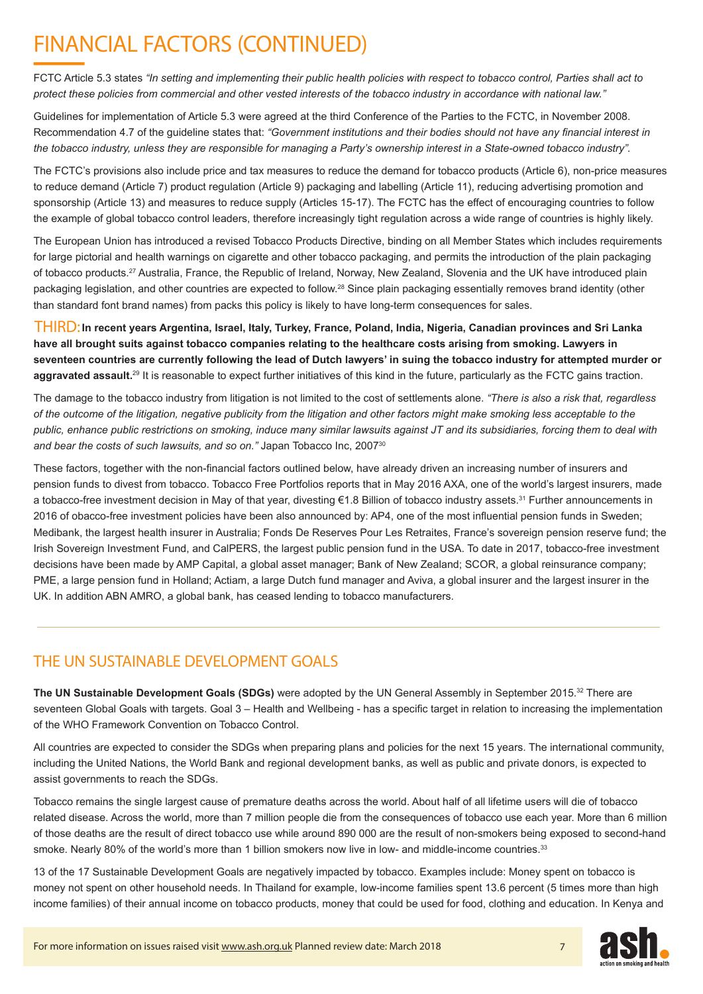## FINANCIAL FACTORS (CONTINUED)

FCTC Article 5.3 states *"In setting and implementing their public health policies with respect to tobacco control, Parties shall act to protect these policies from commercial and other vested interests of the tobacco industry in accordance with national law."*

Guidelines for implementation of Article 5.3 were agreed at the third Conference of the Parties to the FCTC, in November 2008. Recommendation 4.7 of the guideline states that: *"Government institutions and their bodies should not have any financial interest in the tobacco industry, unless they are responsible for managing a Party's ownership interest in a State-owned tobacco industry".* 

The FCTC's provisions also include price and tax measures to reduce the demand for tobacco products (Article 6), non-price measures to reduce demand (Article 7) product regulation (Article 9) packaging and labelling (Article 11), reducing advertising promotion and sponsorship (Article 13) and measures to reduce supply (Articles 15-17). The FCTC has the effect of encouraging countries to follow the example of global tobacco control leaders, therefore increasingly tight regulation across a wide range of countries is highly likely.

The European Union has introduced a revised Tobacco Products Directive, binding on all Member States which includes requirements for large pictorial and health warnings on cigarette and other tobacco packaging, and permits the introduction of the plain packaging of tobacco products.27 Australia, France, the Republic of Ireland, Norway, New Zealand, Slovenia and the UK have introduced plain packaging legislation, and other countries are expected to follow.<sup>28</sup> Since plain packaging essentially removes brand identity (other than standard font brand names) from packs this policy is likely to have long-term consequences for sales.

 **In recent years Argentina, Israel, Italy, Turkey, France, Poland, India, Nigeria, Canadian provinces and Sri Lanka**  THIRD:**have all brought suits against tobacco companies relating to the healthcare costs arising from smoking. Lawyers in seventeen countries are currently following the lead of Dutch lawyers' in suing the tobacco industry for attempted murder or**  aggravated assault.<sup>29</sup> It is reasonable to expect further initiatives of this kind in the future, particularly as the FCTC gains traction.

The damage to the tobacco industry from litigation is not limited to the cost of settlements alone. *"There is also a risk that, regardless of the outcome of the litigation, negative publicity from the litigation and other factors might make smoking less acceptable to the public, enhance public restrictions on smoking, induce many similar lawsuits against JT and its subsidiaries, forcing them to deal with*  and bear the costs of such lawsuits, and so on." Japan Tobacco Inc, 2007<sup>30</sup>

These factors, together with the non-financial factors outlined below, have already driven an increasing number of insurers and pension funds to divest from tobacco. Tobacco Free Portfolios reports that in May 2016 AXA, one of the world's largest insurers, made a tobacco-free investment decision in May of that year, divesting €1.8 Billion of tobacco industry assets.<sup>31</sup> Further announcements in 2016 of obacco-free investment policies have been also announced by: AP4, one of the most influential pension funds in Sweden; Medibank, the largest health insurer in Australia; Fonds De Reserves Pour Les Retraites, France's sovereign pension reserve fund; the Irish Sovereign Investment Fund, and CalPERS, the largest public pension fund in the USA. To date in 2017, tobacco-free investment decisions have been made by AMP Capital, a global asset manager; Bank of New Zealand; SCOR, a global reinsurance company; PME, a large pension fund in Holland; Actiam, a large Dutch fund manager and Aviva, a global insurer and the largest insurer in the UK. In addition ABN AMRO, a global bank, has ceased lending to tobacco manufacturers.

#### THE UN SUSTAINABLE DEVELOPMENT GOALS

**The UN Sustainable Development Goals (SDGs)** were adopted by the UN General Assembly in September 2015.<sup>32</sup> There are seventeen Global Goals with targets. Goal 3 – Health and Wellbeing - has a specific target in relation to increasing the implementation of the WHO Framework Convention on Tobacco Control.

All countries are expected to consider the SDGs when preparing plans and policies for the next 15 years. The international community, including the United Nations, the World Bank and regional development banks, as well as public and private donors, is expected to assist governments to reach the SDGs.

Tobacco remains the single largest cause of premature deaths across the world. About half of all lifetime users will die of tobacco related disease. Across the world, more than 7 million people die from the consequences of tobacco use each year. More than 6 million of those deaths are the result of direct tobacco use while around 890 000 are the result of non-smokers being exposed to second-hand smoke. Nearly 80% of the world's more than 1 billion smokers now live in low- and middle-income countries.<sup>33</sup>

13 of the 17 Sustainable Development Goals are negatively impacted by tobacco. Examples include: Money spent on tobacco is money not spent on other household needs. In Thailand for example, low-income families spent 13.6 percent (5 times more than high income families) of their annual income on tobacco products, money that could be used for food, clothing and education. In Kenya and



7